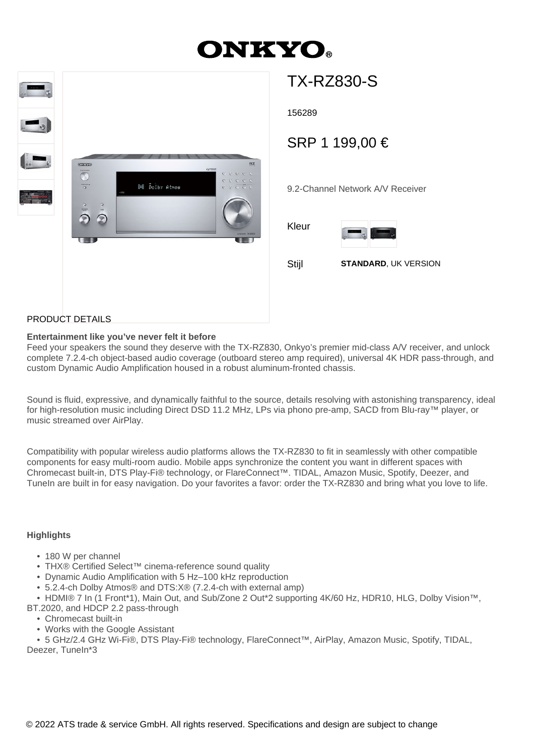# **ONKYO**



## TX-RZ830-S

156289

### SRP 1 199,00 €

9.2-Channel Network A/V Receiver

Kleur



Stijl **STANDARD**, UK VERSION

#### PRODUCT DETAILS

#### **Entertainment like you've never felt it before**

Feed your speakers the sound they deserve with the TX-RZ830, Onkyo's premier mid-class A/V receiver, and unlock complete 7.2.4-ch object-based audio coverage (outboard stereo amp required), universal 4K HDR pass-through, and custom Dynamic Audio Amplification housed in a robust aluminum-fronted chassis.

Sound is fluid, expressive, and dynamically faithful to the source, details resolving with astonishing transparency, ideal for high-resolution music including Direct DSD 11.2 MHz, LPs via phono pre-amp, SACD from Blu-ray™ player, or music streamed over AirPlay.

Compatibility with popular wireless audio platforms allows the TX-RZ830 to fit in seamlessly with other compatible components for easy multi-room audio. Mobile apps synchronize the content you want in different spaces with Chromecast built-in, DTS Play-Fi® technology, or FlareConnect™. TIDAL, Amazon Music, Spotify, Deezer, and TuneIn are built in for easy navigation. Do your favorites a favor: order the TX-RZ830 and bring what you love to life.

#### **Highlights**

- 180 W per channel
- THX® Certified Select™ cinema-reference sound quality
- Dynamic Audio Amplification with 5 Hz–100 kHz reproduction
- 5.2.4-ch Dolby Atmos® and DTS:X® (7.2.4-ch with external amp)

• HDMI® 7 In (1 Front\*1), Main Out, and Sub/Zone 2 Out\*2 supporting 4K/60 Hz, HDR10, HLG, Dolby Vision™,

- BT.2020, and HDCP 2.2 pass-through
	- Chromecast built-in
	- Works with the Google Assistant
	- 5 GHz/2.4 GHz Wi-Fi®, DTS Play-Fi® technology, FlareConnect™, AirPlay, Amazon Music, Spotify, TIDAL,

Deezer, TuneIn\*3